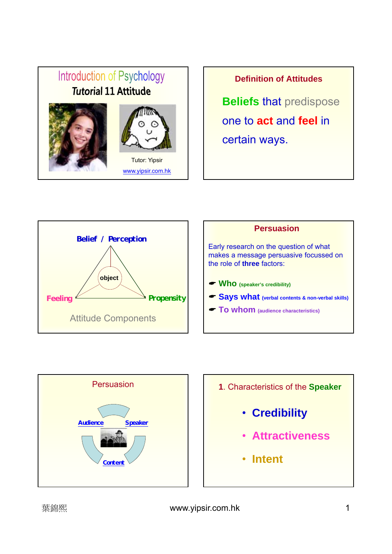# Introduction of Psychology **Tutorial 11 Attitude** Tutor: Yipsir www.yipsir.com.hk

**Definition of Attitudes**

**Beliefs** that predispose one to **act** and **feel** in certain ways.







- **1**. Characteristics of the **Speaker**
	- **Credibility**
	- **Attractiveness**
	- **Intent**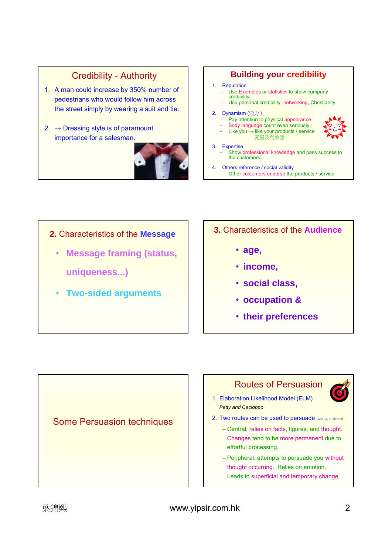# Credibility - Authority

- 1. A man could increase by 350% number of pedestrians who would follow him across the street simply by wearing a suit and tie.
- 2.  $\rightarrow$  Dressing style is of paramount importance for a salesman.



# **Building your credibility**

#### 1. Reputation

- Use Examples or statistics to show company credibility
- Use personal credibility: networking, Christianity

### 2. Dynamism (活力)

- Pay attention to physical appearance – Body language count even seriously
- $-$  Like you  $→$  like your products / service
- 愛屋及烏效應

#### 3. Expertise

- Show professional knowledge and pass success to the customers.
- 4. Others reference / social validity
	- Other customers endorse the products / service

- **2.** Characteristics of the **Message**
	- **Message framing (status, uniqueness...)**
	- **Two-sided arguments**
- **3.** Characteristics of the **Audience**
	- **age,**
	- **income,**
	- **social class,**
	- **occupation &**
	- **their preferences**

Some Persuasion techniques





- 1. Elaboration Likelihood Model (ELM) *Petty and Cacioppo*
- 2. Two routes can be used to persuade paino, nutrient
	- Central: relies on facts, figures, and thought. Changes tend to be more permanent due to effortful processing.
	- Peripheral: attempts to persuade you without thought occurring. Relies on emotion. Leads to superficial and temporary change.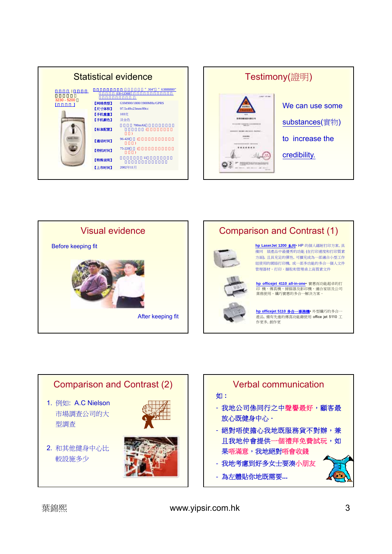| <b>Statistical evidence</b> |                                   |
|-----------------------------|-----------------------------------|
|                             | $"304"$ "<br>63888880"<br>EB-GD88 |
| 3230 - 5200<br>【网络类型】       | GSM900/1800/1900MHz/GPRS          |
| 【尺寸体积】                      | 97.5×49×23mm/89cc                 |
| 【手机重量】                      | 103克                              |
| 【手机颜色】                      | 淡金色                               |
| 【标准配置】                      | 700mAh                            |
| 【通话时间】                      | 96-420                            |
| 【待机时间】                      | 75-220                            |
| 【特殊说明】                      | 11                                |
| 【上市时间】                      | 2002年11月                          |







**hp officejet 5110** 多合一事務機• 外型纖巧的多合一 產品, 備有先進的傳真功能藉使用 office jet 5110 工 作更多, 創作更

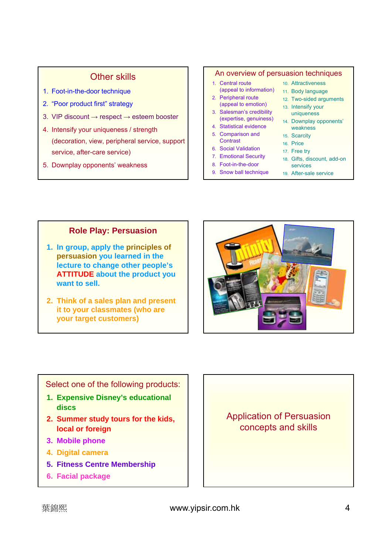# Other skills

- 1. Foot-in-the-door technique
- 2. "Poor product first" strategy
- 3. VIP discount  $\rightarrow$  respect  $\rightarrow$  esteem booster
- 4. Intensify your uniqueness / strength (decoration, view, peripheral service, support service, after-care service)
- 5. Downplay opponents' weakness

### An overview of persuasion techniques

- 1. Central route (appeal to information) 11. Body language 2. Peripheral route
- (appeal to emotion) 3. Salesman's credibility
- (expertise, genuiness) 14. Downplay opponents' 4. Statistical evidence
- 5. Comparison and
- **Contrast**
- 6. Social Validation
- 7. Emotional Security
- 8. Foot-in-the-door
- 9. Snow ball technique
- 10. Attractiveness
	-
- 12. Two-sided arguments
- 13. Intensify your uniqueness
	- weakness
- 15. Scarcity
- 16. Price
- 17. Free try 18. Gifts, discount, add-on
- services
- 19. After-sale service

# **Role Play: Persuasion**

- **1. In group, apply the principles of persuasion you learned in the lecture to change other people's ATTITUDE about the product you want to sell.**
- **2. Think of a sales plan and present it to your classmates (who are your target customers)**



Select one of the following products:

- **1. Expensive Disney's educational discs**
- **2. Summer study tours for the kids, local or foreign**
- **3. Mobile phone**
- **4. Digital camera**
- **5. Fitness Centre Membership**
- **6. Facial package**

Application of Persuasion concepts and skills